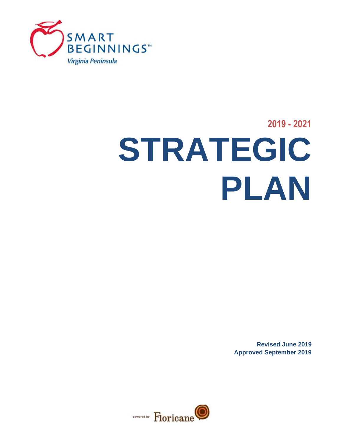

# **2019 - 2021 STRATEGIC PLAN**

**Revised June 2019 Approved September 2019**

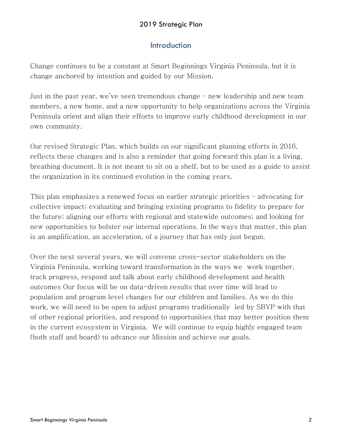### 2019 Strategic Plan

# Introduction

Change continues to be a constant at Smart Beginnings Virginia Peninsula, but it is change anchored by intention and guided by our Mission.

Just in the past year, we've seen tremendous change – new leadership and new team members, a new home, and a new opportunity to help organizations across the Virginia Peninsula orient and align their efforts to improve early childhood development in our own community.

Our revised Strategic Plan, which builds on our significant planning efforts in 2016, reflects these changes and is also a reminder that going forward this plan is a living, breathing document. It is not meant to sit on a shelf, but to be used as a guide to assist the organization in its continued evolution in the coming years.

This plan emphasizes a renewed focus on earlier strategic priorities – advocating for collective impact; evaluating and bringing existing programs to fidelity to prepare for the future; aligning our efforts with regional and statewide outcomes; and looking for new opportunities to bolster our internal operations. In the ways that matter, this plan is an amplification, an acceleration, of a journey that has only just begun.

Over the next several years, we will convene cross-sector stakeholders on the Virginia Peninsula, working toward transformation in the ways we work together, track progress, respond and talk about early childhood development and health outcomes Our focus will be on data-driven results that over time will lead to population and program level changes for our children and families. As we do this work, we will need to be open to adjust programs traditionally led by SBVP with that of other regional priorities, and respond to opportunities that may better position them in the current ecosystem in Virginia. We will continue to equip highly engaged team (both staff and board) to advance our Mission and achieve our goals.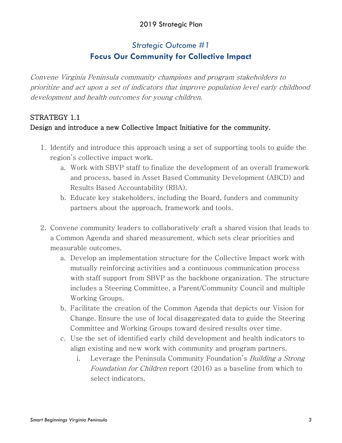### 2019 Strategic Plan

# *Strategic Outcome #1* **Focus Our Community for Collective Impact**

Convene Virginia Peninsula community champions and program stakeholders to prioritize and act upon a set of indicators that improve population level early childhood development and health outcomes for young children.

# STRATEGY 1.1 Design and introduce a new Collective Impact Initiative for the community.

- 1. Identify and introduce this approach using a set of supporting tools to guide the region's collective impact work.
	- a. Work with SBVP staff to finalize the development of an overall framework and process, based in Asset Based Community Development (ABCD) and Results Based Accountability (RBA).
	- b. Educate key stakeholders, including the Board, funders and community partners about the approach, framework and tools.
- 2. Convene community leaders to collaboratively craft a shared vision that leads to a Common Agenda and shared measurement, which sets clear priorities and measurable outcomes.
	- a. Develop an implementation structure for the Collective Impact work with mutually reinforcing activities and a continuous communication process with staff support from SBVP as the backbone organization. The structure includes a Steering Committee, a Parent/Community Council and multiple Working Groups.
	- b. Facilitate the creation of the Common Agenda that depicts our Vision for Change. Ensure the use of local disaggregated data to guide the Steering Committee and Working Groups toward desired results over time.
	- c. Use the set of identified early child development and health indicators to align existing and new work with community and program partners.
		- i. Leverage the Peninsula Community Foundation's *Building a Strong* Foundation for Children report (2016) as a baseline from which to select indicators.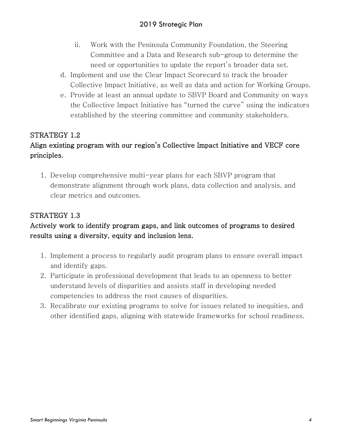- ii. Work with the Peninsula Community Foundation, the Steering Committee and a Data and Research sub-group to determine the need or opportunities to update the report's broader data set.
- d. Implement and use the Clear Impact Scorecard to track the broader Collective Impact Initiative, as well as data and action for Working Groups.
- e. Provide at least an annual update to SBVP Board and Community on ways the Collective Impact Initiative has "turned the curve" using the indicators established by the steering committee and community stakeholders.

# STRATEGY 1.2

# Align existing program with our region's Collective Impact Initiative and VECF core principles.

1. Develop comprehensive multi-year plans for each SBVP program that demonstrate alignment through work plans, data collection and analysis, and clear metrics and outcomes.

# STRATEGY 1.3

# Actively work to identify program gaps, and link outcomes of programs to desired results using a diversity, equity and inclusion lens.

- 1. Implement a process to regularly audit program plans to ensure overall impact and identify gaps.
- 2. Participate in professional development that leads to an openness to better understand levels of disparities and assists staff in developing needed competencies to address the root causes of disparities.
- 3. Recalibrate our existing programs to solve for issues related to inequities, and other identified gaps, aligning with statewide frameworks for school readiness.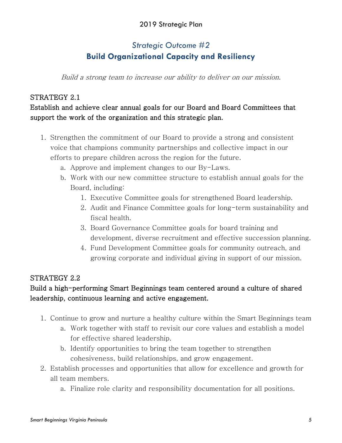## 2019 Strategic Plan

# *Strategic Outcome #2* **Build Organizational Capacity and Resiliency**

Build a strong team to increase our ability to deliver on our mission.

#### STRATEGY 2.1

# Establish and achieve clear annual goals for our Board and Board Committees that support the work of the organization and this strategic plan.

- 1. Strengthen the commitment of our Board to provide a strong and consistent voice that champions community partnerships and collective impact in our efforts to prepare children across the region for the future.
	- a. Approve and implement changes to our By-Laws.
	- b. Work with our new committee structure to establish annual goals for the Board, including:
		- 1. Executive Committee goals for strengthened Board leadership.
		- 2. Audit and Finance Committee goals for long-term sustainability and fiscal health.
		- 3. Board Governance Committee goals for board training and development, diverse recruitment and effective succession planning.
		- 4. Fund Development Committee goals for community outreach, and growing corporate and individual giving in support of our mission.

#### STRATEGY 2.2

# Build a high-performing Smart Beginnings team centered around a culture of shared leadership, continuous learning and active engagement.

- 1. Continue to grow and nurture a healthy culture within the Smart Beginnings team
	- a. Work together with staff to revisit our core values and establish a model for effective shared leadership.
	- b. Identify opportunities to bring the team together to strengthen cohesiveness, build relationships, and grow engagement.
- 2. Establish processes and opportunities that allow for excellence and growth for all team members.
	- a. Finalize role clarity and responsibility documentation for all positions.